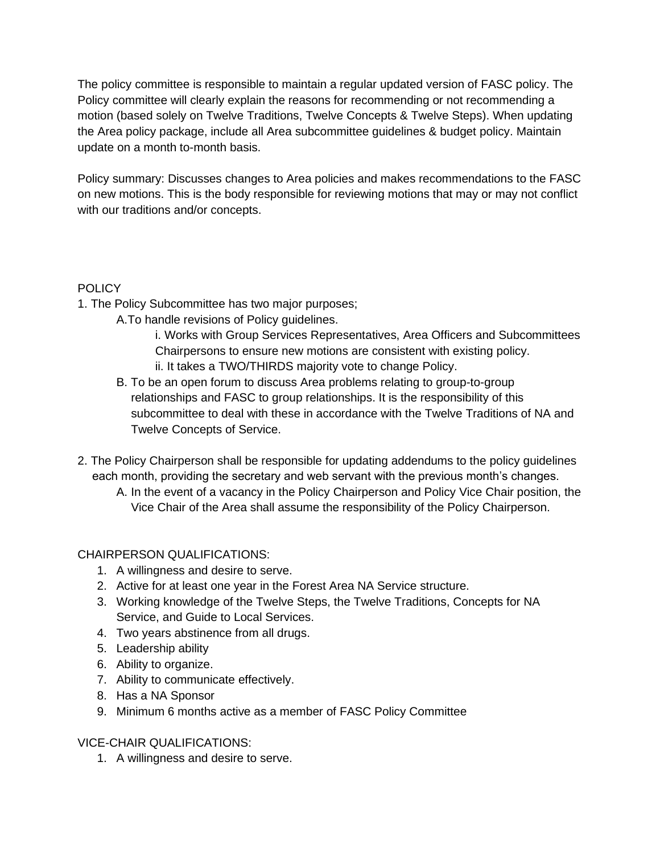The policy committee is responsible to maintain a regular updated version of FASC policy. The Policy committee will clearly explain the reasons for recommending or not recommending a motion (based solely on Twelve Traditions, Twelve Concepts & Twelve Steps). When updating the Area policy package, include all Area subcommittee guidelines & budget policy. Maintain update on a month to-month basis.

Policy summary: Discusses changes to Area policies and makes recommendations to the FASC on new motions. This is the body responsible for reviewing motions that may or may not conflict with our traditions and/or concepts.

## **POLICY**

- 1. The Policy Subcommittee has two major purposes;
	- A.To handle revisions of Policy guidelines.
		- i. Works with Group Services Representatives, Area Officers and Subcommittees Chairpersons to ensure new motions are consistent with existing policy.
		- ii. It takes a TWO/THIRDS majority vote to change Policy.
	- B. To be an open forum to discuss Area problems relating to group-to-group relationships and FASC to group relationships. It is the responsibility of this subcommittee to deal with these in accordance with the Twelve Traditions of NA and Twelve Concepts of Service.
- 2. The Policy Chairperson shall be responsible for updating addendums to the policy guidelines each month, providing the secretary and web servant with the previous month's changes.
	- A. In the event of a vacancy in the Policy Chairperson and Policy Vice Chair position, the Vice Chair of the Area shall assume the responsibility of the Policy Chairperson.

## CHAIRPERSON QUALIFICATIONS:

- 1. A willingness and desire to serve.
- 2. Active for at least one year in the Forest Area NA Service structure.
- 3. Working knowledge of the Twelve Steps, the Twelve Traditions, Concepts for NA Service, and Guide to Local Services.
- 4. Two years abstinence from all drugs.
- 5. Leadership ability
- 6. Ability to organize.
- 7. Ability to communicate effectively.
- 8. Has a NA Sponsor
- 9. Minimum 6 months active as a member of FASC Policy Committee

## VICE-CHAIR QUALIFICATIONS:

1. A willingness and desire to serve.